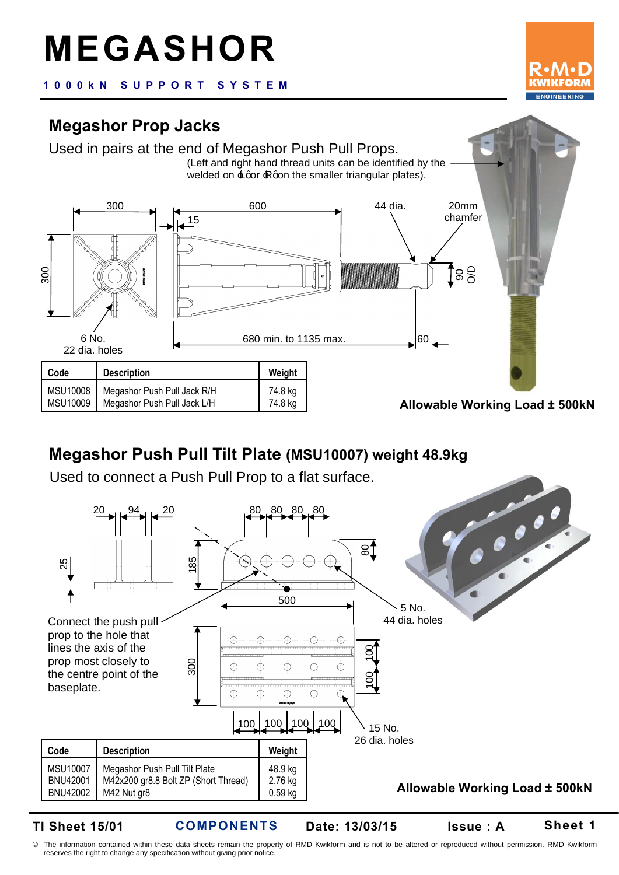# **MEGASHOR**

**1 0 0 0 k N S U P P O R T S Y S T E M**

## **Megashor Prop Jacks**



# **Megashor Push Pull Tilt Plate (MSU10007) weight 48.9kg**

Used to connect a Push Pull Prop to a flat surface.



**TI Sheet 15/01** 

**COMPONENTS**

**Date: 13/03/15 Issue : A**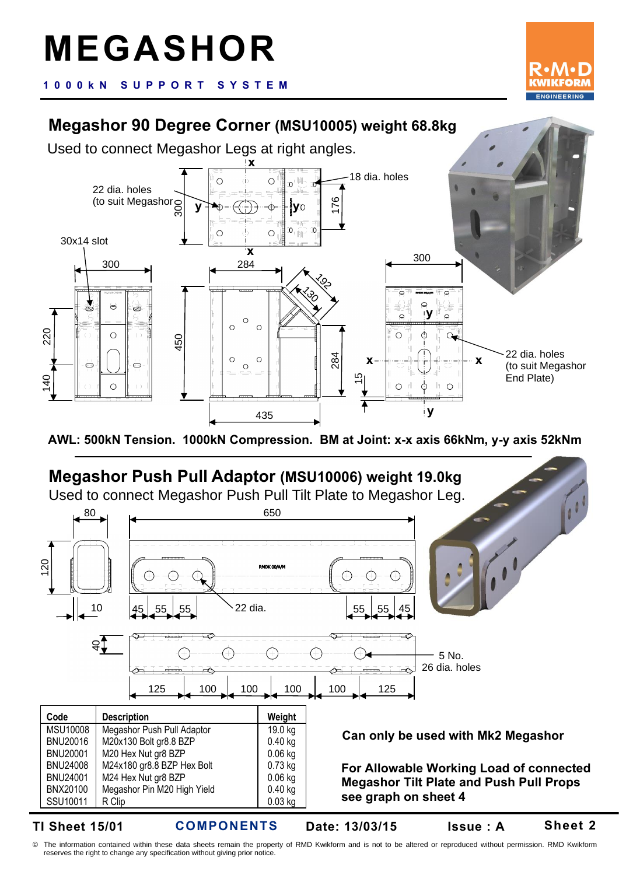**1 0 0 0 k N S U P P O R T S Y S T E M**

# **Megashor 90 Degree Corner (MSU10005) weight 68.8kg**

Used to connect Megashor Legs at right angles.





**TI Sheet 15/01** 

**COMPONENTS Date: 13/03/15 Issue : A**

**Sheet 2**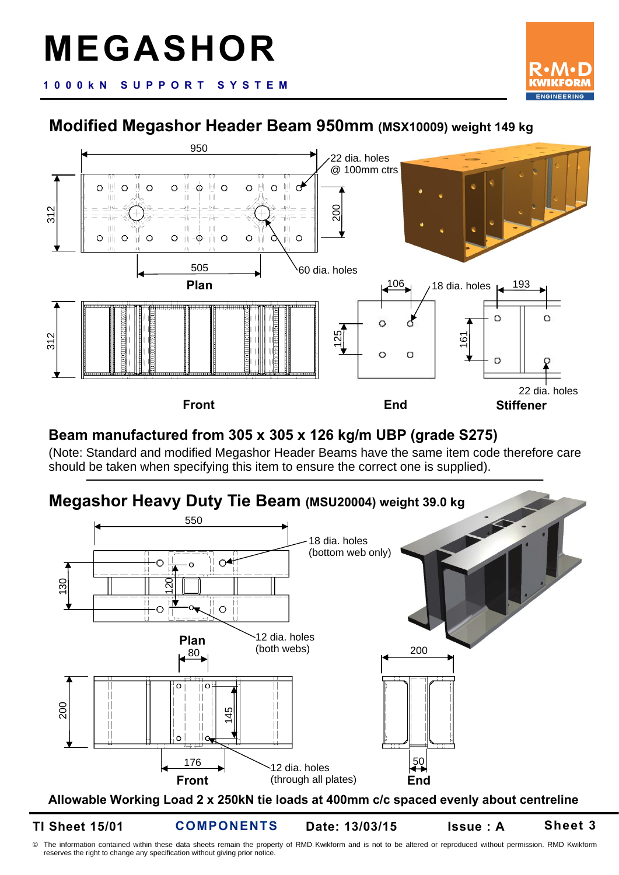

**1 0 0 0 k N S U P P O R T S Y S T E M**

#### **Modified Megashor Header Beam 950mm (MSX10009) weight 149 kg**



#### **Beam manufactured from 305 x 305 x 126 kg/m UBP (grade S275)**

(Note: Standard and modified Megashor Header Beams have the same item code therefore care should be taken when specifying this item to ensure the correct one is supplied).

### **Megashor Heavy Duty Tie Beam (MSU20004) weight 39.0 kg** 550 18 dia. holes



**TI Sheet 15/01** 

**COMPONENTS Date: 13/03/15 Issue : A**

**Sheet 3**